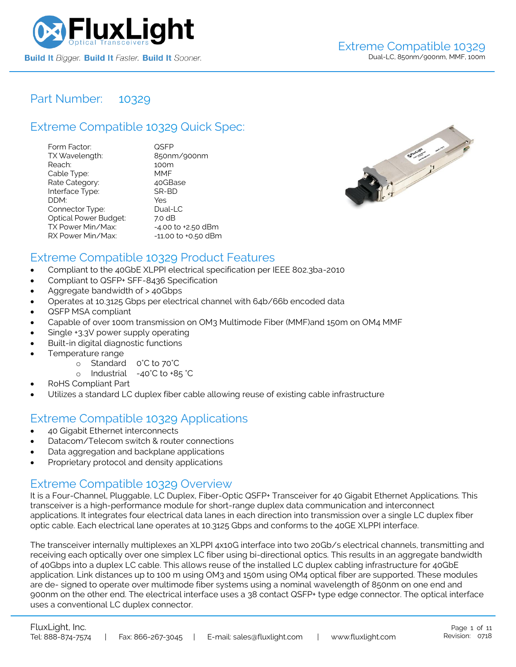

### Part Number: [10329](https://www.fluxlight.com/10329/)

### Extreme Compatible [10329](https://www.fluxlight.com/10329/) Quick Spec:

| Form Factor:                 | QSFP                |
|------------------------------|---------------------|
| TX Wavelength:               | 850nm/900nm         |
| Reach:                       | 100m                |
| Cable Type:                  | <b>MMF</b>          |
| Rate Category:               | 40GBase             |
| Interface Type:              | SR-BD               |
| DDM:                         | Yes                 |
| Connector Type:              | Dual-LC             |
| <b>Optical Power Budget:</b> | 7.0 dB              |
| TX Power Min/Max:            | -4.00 to +2.50 dBm  |
| RX Power Min/Max:            | -11.00 to +0.50 dBm |



### Extreme Compatible [10329](https://www.fluxlight.com/10329/) Product Features

- Compliant to the 40GbE XLPPI electrical specification per IEEE 802.3ba-2010
- Compliant to QSFP+ SFF-8436 Specification
- Aggregate bandwidth of > 40Gbps
- Operates at 10.3125 Gbps per electrical channel with 64b/66b encoded data
- QSFP MSA compliant
- Capable of over 100m transmission on OM3 Multimode Fiber (MMF)and 150m on OM4 MMF
- Single +3.3V power supply operating
- Built-in digital diagnostic functions
- Temperature range
	- o Standard 0°C to 70°C
	- o Industrial -40°C to +85 °C
- RoHS Compliant Part
- Utilizes a standard LC duplex fiber cable allowing reuse of existing cable infrastructure

### Extreme Compatible [10329](https://www.fluxlight.com/10329/) Applications

- 40 Gigabit Ethernet interconnects
- Datacom/Telecom switch & router connections
- Data aggregation and backplane applications
- Proprietary protocol and density applications

### Extreme Compatible [10329](https://www.fluxlight.com/10329/) Overview

It is a Four-Channel, Pluggable, LC Duplex, Fiber-Optic QSFP+ Transceiver for 40 Gigabit Ethernet Applications. This transceiver is a high-performance module for short-range duplex data communication and interconnect applications. It integrates four electrical data lanes in each direction into transmission over a single LC duplex fiber optic cable. Each electrical lane operates at 10.3125 Gbps and conforms to the 40GE XLPPI interface.

The transceiver internally multiplexes an XLPPI 4x10G interface into two 20Gb/s electrical channels, transmitting and receiving each optically over one simplex LC fiber using bi-directional optics. This results in an aggregate bandwidth of 40Gbps into a duplex LC cable. This allows reuse of the installed LC duplex cabling infrastructure for 40GbE application. Link distances up to 100 m using OM3 and 150m using OM4 optical fiber are supported. These modules are de- signed to operate over multimode fiber systems using a nominal wavelength of 850nm on one end and 900nm on the other end. The electrical interface uses a 38 contact QSFP+ type edge connector. The optical interface uses a conventional LC duplex connector.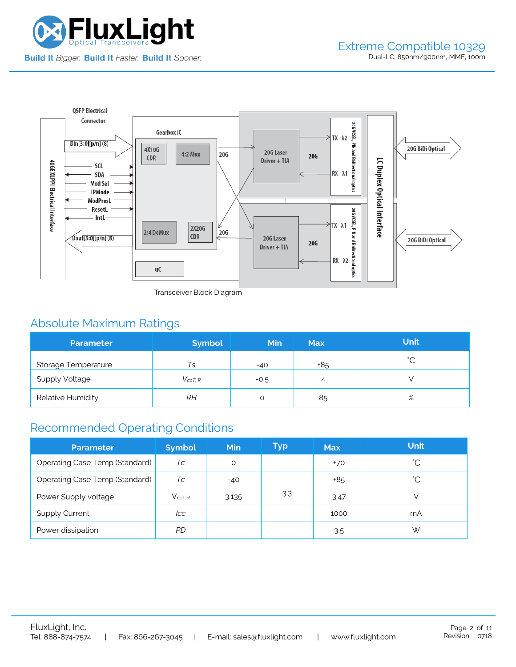



Transceiver Block Diagram

# Absolute Maximum Ratings

| <b>Parameter</b>      | <b>Symbol</b>  | <b>Min</b> | <b>Max</b> | <b>Unit</b> |
|-----------------------|----------------|------------|------------|-------------|
| Storage Temperature   | Ts             | $-40$      | +85        | $\hat{ }$   |
| <b>Supply Voltage</b> | $V_{c c T. R}$ | $-0.5$     | 4          |             |
| Relative Humidity     | RН             |            | 85         | $\%$        |

## Recommended Operating Conditions

| <b>Parameter</b>                      | <b>Symbol</b> | Min   | Typ | <b>Max</b> | <b>Unit</b>  |
|---------------------------------------|---------------|-------|-----|------------|--------------|
| <b>Operating Case Temp (Standard)</b> | Тc            | O     |     | $+70$      | °С           |
| <b>Operating Case Temp (Standard)</b> | Тc            | $-40$ |     | +85        | $^{\circ}$ C |
| Power Supply voltage                  | $V_{ccT.R}$   | 3.135 | 3.3 | 3.47       |              |
| <b>Supply Current</b>                 | lcc           |       |     | 1000       | mA           |
| Power dissipation                     | PD            |       |     | 3.5        | W            |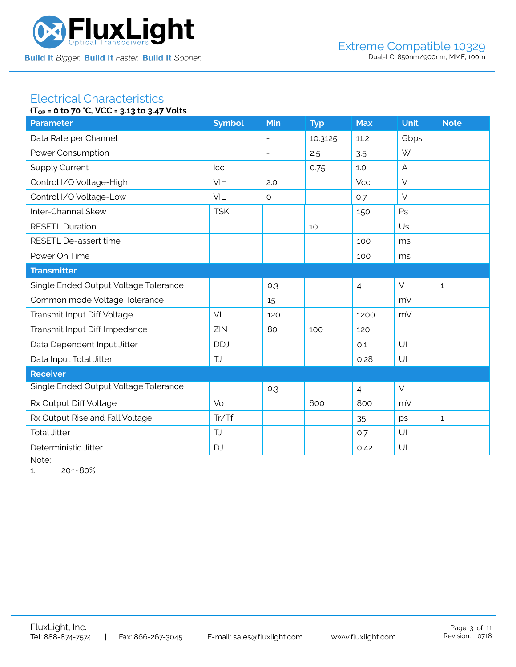

#### Electrical Characteristics **(TOP = 0 to 70 °C, VCC = 3.13 to 3.47 Volts**

| ۱۱ <sub>OP</sub> = 0 to /0 C, YCC = 3.13 to 3.4/ YOUS |               |                          |            |                |                |              |  |  |
|-------------------------------------------------------|---------------|--------------------------|------------|----------------|----------------|--------------|--|--|
| <b>Parameter</b>                                      | <b>Symbol</b> | Min                      | <b>Typ</b> | <b>Max</b>     | <b>Unit</b>    | <b>Note</b>  |  |  |
| Data Rate per Channel                                 |               |                          | 10.3125    | 11.2           | Gbps           |              |  |  |
| Power Consumption                                     |               | $\overline{\phantom{a}}$ | 2.5        | 3.5            | W              |              |  |  |
| <b>Supply Current</b>                                 | <b>Icc</b>    |                          | 0.75       | 1.0            | $\overline{A}$ |              |  |  |
| Control I/O Voltage-High                              | VIH           | 2.0                      |            | <b>Vcc</b>     | $\vee$         |              |  |  |
| Control I/O Voltage-Low                               | VIL           | $\circ$                  |            | 0.7            | $\vee$         |              |  |  |
| Inter-Channel Skew                                    | <b>TSK</b>    |                          |            | 150            | Ps             |              |  |  |
| <b>RESETL Duration</b>                                |               |                          | 10         |                | Us             |              |  |  |
| RESETL De-assert time                                 |               |                          |            | 100            | ms             |              |  |  |
| Power On Time                                         |               |                          |            | 100            | ms             |              |  |  |
| <b>Transmitter</b>                                    |               |                          |            |                |                |              |  |  |
| Single Ended Output Voltage Tolerance                 |               | 0.3                      |            | $\overline{4}$ | $\vee$         | $\mathbf{1}$ |  |  |
| Common mode Voltage Tolerance                         |               | 15                       |            |                | mV             |              |  |  |
| Transmit Input Diff Voltage                           | VI            | 120                      |            | 1200           | mV             |              |  |  |
| Transmit Input Diff Impedance                         | ZIN           | 80                       | 100        | 120            |                |              |  |  |
| Data Dependent Input Jitter                           | <b>DDJ</b>    |                          |            | 0.1            | U              |              |  |  |
| Data Input Total Jitter                               | TJ            |                          |            | 0.28           | U              |              |  |  |
| <b>Receiver</b>                                       |               |                          |            |                |                |              |  |  |
| Single Ended Output Voltage Tolerance                 |               | 0.3                      |            | $\overline{4}$ | $\vee$         |              |  |  |
| Rx Output Diff Voltage                                | Vo            |                          | 600        | 800            | mV             |              |  |  |
| Rx Output Rise and Fall Voltage                       | Tr/Tf         |                          |            | 35             | ps             | $\mathbf{1}$ |  |  |
| <b>Total Jitter</b>                                   | TJ            |                          |            | 0.7            | U              |              |  |  |
| Deterministic Jitter                                  | <b>DJ</b>     |                          |            | 0.42           | U              |              |  |  |
|                                                       |               |                          |            |                |                |              |  |  |

Note:

1.  $20~80%$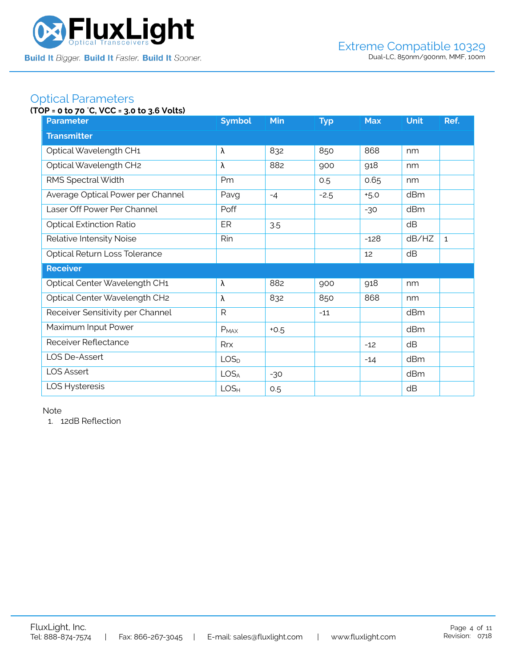

### Optical Parameters

### **(TOP = 0 to 70** °**C, VCC = 3.0 to 3.6 Volts)**

| <b>Parameter</b>                  | <b>Symbol</b>    | <b>Min</b> | <b>Typ</b> | <b>Max</b> | <b>Unit</b> | Ref.         |  |  |
|-----------------------------------|------------------|------------|------------|------------|-------------|--------------|--|--|
| <b>Transmitter</b>                |                  |            |            |            |             |              |  |  |
| Optical Wavelength CH1            | λ                | 832        | 850        | 868        | nm          |              |  |  |
| Optical Wavelength CH2            | λ                | 882        | 900        | 918        | nm          |              |  |  |
| RMS Spectral Width                | Pm               |            | 0.5        | 0.65       | nm          |              |  |  |
| Average Optical Power per Channel | Pavg             | $-4$       | $-2.5$     | $+5.0$     | dBm         |              |  |  |
| Laser Off Power Per Channel       | Poff             |            |            | $-30$      | dBm         |              |  |  |
| <b>Optical Extinction Ratio</b>   | ER               | 3.5        |            |            | dB          |              |  |  |
| Relative Intensity Noise          | Rin              |            |            | $-128$     | dB/HZ       | $\mathbf{1}$ |  |  |
| Optical Return Loss Tolerance     |                  |            |            | 12         | dB          |              |  |  |
| <b>Receiver</b>                   |                  |            |            |            |             |              |  |  |
| Optical Center Wavelength CH1     | λ                | 882        | 900        | 918        | nm          |              |  |  |
| Optical Center Wavelength CH2     | λ                | 832        | 850        | 868        | nm          |              |  |  |
| Receiver Sensitivity per Channel  | R                |            | $-11$      |            | dBm         |              |  |  |
| Maximum Input Power               | $P_{MAX}$        | $+0.5$     |            |            | dBm         |              |  |  |
| Receiver Reflectance              | Rrx              |            |            | $-12$      | dB          |              |  |  |
| LOS De-Assert                     | LOS <sub>D</sub> |            |            | $-14$      | dBm         |              |  |  |
| <b>LOS Assert</b>                 | LOS <sub>A</sub> | $-30$      |            |            | dBm         |              |  |  |
| LOS Hysteresis                    | LOS <sub>H</sub> | 0.5        |            |            | dB          |              |  |  |

Note

1. 12dB Reflection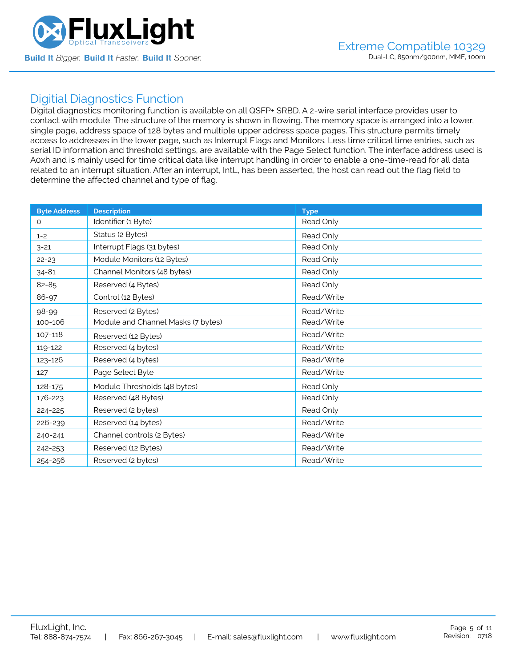

### Digitial Diagnostics Function

Digital diagnostics monitoring function is available on all QSFP+ SRBD. A 2-wire serial interface provides user to contact with module. The structure of the memory is shown in flowing. The memory space is arranged into a lower, single page, address space of 128 bytes and multiple upper address space pages. This structure permits timely access to addresses in the lower page, such as Interrupt Flags and Monitors. Less time critical time entries, such as serial ID information and threshold settings, are available with the Page Select function. The interface address used is A0xh and is mainly used for time critical data like interrupt handling in order to enable a one-time-read for all data related to an interrupt situation. After an interrupt, IntL, has been asserted, the host can read out the flag field to determine the affected channel and type of flag.

| <b>Byte Address</b> | <b>Description</b>                 | <b>Type</b> |
|---------------------|------------------------------------|-------------|
| $\Omega$            | Identifier (1 Byte)                | Read Only   |
| $1 - 2$             | Status (2 Bytes)                   | Read Only   |
| $3 - 21$            | Interrupt Flags (31 bytes)         | Read Only   |
| $22 - 23$           | Module Monitors (12 Bytes)         | Read Only   |
| $34 - 81$           | Channel Monitors (48 bytes)        | Read Only   |
| 82-85               | Reserved (4 Bytes)                 | Read Only   |
| 86-97               | Control (12 Bytes)                 | Read/Write  |
| 98-99               | Reserved (2 Bytes)                 | Read/Write  |
| 100-106             | Module and Channel Masks (7 bytes) | Read/Write  |
| 107-118             | Reserved (12 Bytes)                | Read/Write  |
| 119-122             | Reserved (4 bytes)                 | Read/Write  |
| 123-126             | Reserved (4 bytes)                 | Read/Write  |
| 127                 | Page Select Byte                   | Read/Write  |
| 128-175             | Module Thresholds (48 bytes)       | Read Only   |
| 176-223             | Reserved (48 Bytes)                | Read Only   |
| 224-225             | Reserved (2 bytes)                 | Read Only   |
| 226-239             | Reserved (14 bytes)                | Read/Write  |
| 240-241             | Channel controls (2 Bytes)         | Read/Write  |
| 242-253             | Reserved (12 Bytes)                | Read/Write  |
| 254-256             | Reserved (2 bytes)                 | Read/Write  |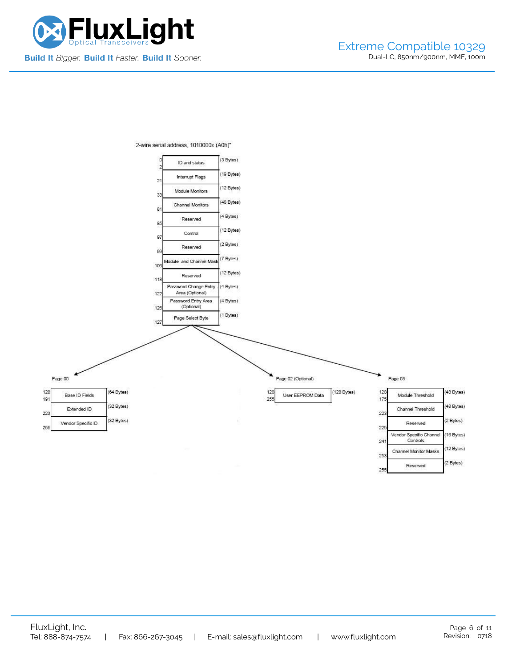

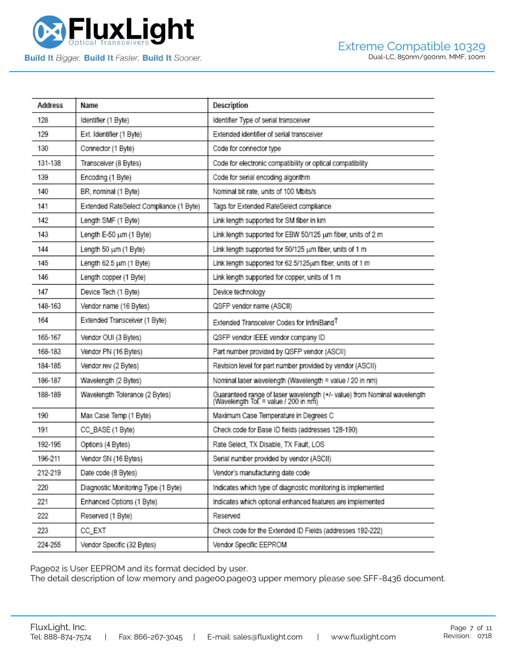

| Address | Name                                    | Description                                                                                                       |
|---------|-----------------------------------------|-------------------------------------------------------------------------------------------------------------------|
| 128     | Identifier (1 Byte)                     | Identifier Type of serial transceiver                                                                             |
| 129     | Ext. Identifier (1 Byte)                | Extended identifier of serial transceiver                                                                         |
| 130     | Connector (1 Byte)                      | Code for connector type                                                                                           |
| 131-138 | Transceiver (8 Bytes)                   | Code for electronic compatibility or optical compatibility                                                        |
| 139     | Encoding (1 Byte)                       | Code for serial encoding algorithm                                                                                |
| 140     | BR, nominal (1 Byte)                    | Nominal bit rate, units of 100 Mbits/s                                                                            |
| 141     | Extended RateSelect Compliance (1 Byte) | Tags for Extended RateSelect compliance                                                                           |
| 142     | Length SMF (1 Byte)                     | Link length supported for SM fiber in km                                                                          |
| 143     | Length E-50 um (1 Byte)                 | Link length supported for EBW 50/125 um fiber, units of 2 m                                                       |
| 144     | Length 50 um (1 Byte)                   | Link length supported for 50/125 um fiber, units of 1 m                                                           |
| 145     | Length 62.5 um (1 Byte)                 | Link length supported for 62.5/125um fiber, units of 1 m                                                          |
| 146     | Length copper (1 Byte)                  | Link length supported for copper, units of 1 m                                                                    |
| 147     | Device Tech (1 Byte)                    | Device technology                                                                                                 |
| 148-163 | Vendor name (16 Bytes)                  | QSFP vendor name (ASCII)                                                                                          |
| 164     | Extended Transceiver (1 Byte)           | Extended Transceiver Codes for InfiniBand <sup>T</sup>                                                            |
| 165-167 | Vendor OUI (3 Bytes)                    | QSFP vendor IEEE vendor company ID                                                                                |
| 168-183 | Vendor PN (16 Bytes)                    | Part number provided by QSFP vendor (ASCII)                                                                       |
| 184-185 | Vendor rev (2 Bytes)                    | Revision level for part number provided by vendor (ASCII)                                                         |
| 186-187 | Wavelength (2 Bytes)                    | Nominal laser wavelength (Wavelength = value / 20 in nm)                                                          |
| 188-189 | Wavelength Tolerance (2 Bytes)          | Guaranteed range of laser wavelength (+/- value) from Nominal wavelength<br>(Wavelength Tol. = value / 200 in nm) |
| 190     | Max Case Temp (1 Byte)                  | Maximum Case Temperature in Degrees C                                                                             |
| 191     | CC_BASE (1 Byte)                        | Check code for Base ID fields (addresses 128-190)                                                                 |
| 192-195 | Options (4 Bytes)                       | Rate Select, TX Disable, TX Fault, LOS                                                                            |
| 196-211 | Vendor SN (16 Bytes)                    | Serial number provided by vendor (ASCII)                                                                          |
| 212-219 | Date code (8 Bytes)                     | Vendor's manufacturing date code                                                                                  |
| 220     | Diagnostic Monitoring Type (1 Byte)     | Indicates which type of diagnostic monitoring is implemented                                                      |
| 221     | Enhanced Options (1 Byte)               | Indicates which optional enhanced features are implemented                                                        |
| 222     | Reserved (1 Byte)                       | Reserved                                                                                                          |
| 223     | CC_EXT                                  | Check code for the Extended ID Fields (addresses 192-222)                                                         |
| 224-255 | Vendor Specific (32 Bytes)              | Vendor Specific EEPROM                                                                                            |

Page02 is User EEPROM and its format decided by user.

The detail description of low memory and page00.page03 upper memory please see SFF-8436 document.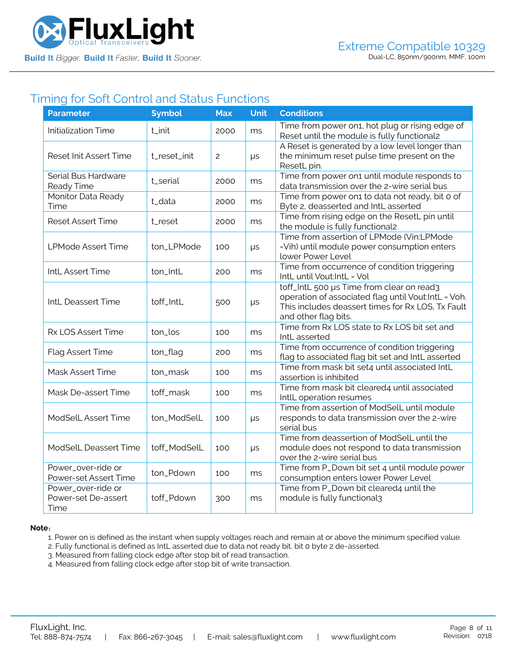

### Timing for Soft Control and Status Functions

| <b>Parameter</b>                                  | <b>Symbol</b> | <b>Max</b> | <b>Unit</b> | <b>Conditions</b>                                                                                                                                                             |
|---------------------------------------------------|---------------|------------|-------------|-------------------------------------------------------------------------------------------------------------------------------------------------------------------------------|
| <b>Initialization Time</b>                        | t_init        | 2000       | ms          | Time from power on1, hot plug or rising edge of<br>Reset until the module is fully functional2                                                                                |
| <b>Reset Init Assert Time</b>                     | t_reset_init  | 2          | μs          | A Reset is generated by a low level longer than<br>the minimum reset pulse time present on the<br>ResetL pin.                                                                 |
| Serial Bus Hardware<br>Ready Time                 | t_serial      | 2000       | ms          | Time from power on1 until module responds to<br>data transmission over the 2-wire serial bus                                                                                  |
| Monitor Data Ready<br>Time                        | t_data        | 2000       | ms          | Time from power on1 to data not ready, bit 0 of<br>Byte 2, deasserted and IntL asserted                                                                                       |
| <b>Reset Assert Time</b>                          | t_reset       | 2000       | ms          | Time from rising edge on the ResetL pin until<br>the module is fully functional2                                                                                              |
| <b>LPMode Assert Time</b>                         | ton_LPMode    | 100        | μs          | Time from assertion of LPMode (Vin:LPMode<br>=Vih) until module power consumption enters<br>lower Power Level                                                                 |
| IntL Assert Time                                  | ton_IntL      | 200        | ms          | Time from occurrence of condition triggering<br>IntL until Vout:IntL = Vol                                                                                                    |
| IntL Deassert Time                                | toff_IntL     | 500        | μs          | toff_IntL 500 µs Time from clear on read3<br>operation of associated flag until Vout:IntL = Voh.<br>This includes deassert times for Rx LOS, Tx Fault<br>and other flag bits. |
| Rx LOS Assert Time                                | ton_los       | 100        | ms          | Time from Rx LOS state to Rx LOS bit set and<br>IntL asserted                                                                                                                 |
| Flag Assert Time                                  | ton_flag      | 200        | ms          | Time from occurrence of condition triggering<br>flag to associated flag bit set and IntL asserted                                                                             |
| Mask Assert Time                                  | ton_mask      | 100        | ms          | Time from mask bit set4 until associated IntL<br>assertion is inhibited                                                                                                       |
| Mask De-assert Time                               | toff_mask     | 100        | ms          | Time from mask bit cleared4 until associated<br>IntlL operation resumes                                                                                                       |
| <b>ModSelL Assert Time</b>                        | ton_ModSelL   | 100        | $\mu s$     | Time from assertion of ModSelL until module<br>responds to data transmission over the 2-wire<br>serial bus                                                                    |
| ModSelL Deassert Time                             | toff_ModSelL  | 100        | $\mu s$     | Time from deassertion of ModSelL until the<br>module does not respond to data transmission<br>over the 2-wire serial bus                                                      |
| Power_over-ride or<br>Power-set Assert Time       | ton_Pdown     | 100        | ms          | Time from P_Down bit set 4 until module power<br>consumption enters lower Power Level                                                                                         |
| Power_over-ride or<br>Power-set De-assert<br>Time | toff_Pdown    | 300        | ms          | Time from P_Down bit cleared4 until the<br>module is fully functional3                                                                                                        |

#### **Note**:

1. Power on is defined as the instant when supply voltages reach and remain at or above the minimum specified value.

- 2. Fully functional is defined as IntL asserted due to data not ready bit, bit 0 byte 2 de-asserted.
- 3. Measured from falling clock edge after stop bit of read transaction.
- 4. Measured from falling clock edge after stop bit of write transaction.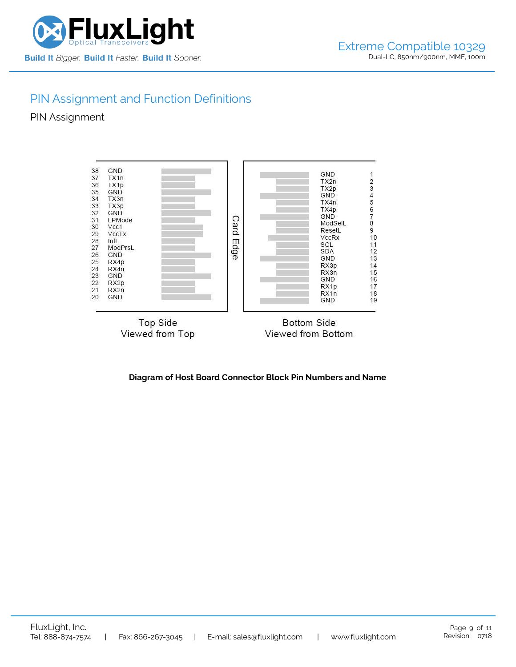

## PIN Assignment and Function Definitions

PIN Assignment



**Diagram of Host Board Connector Block Pin Numbers and Name**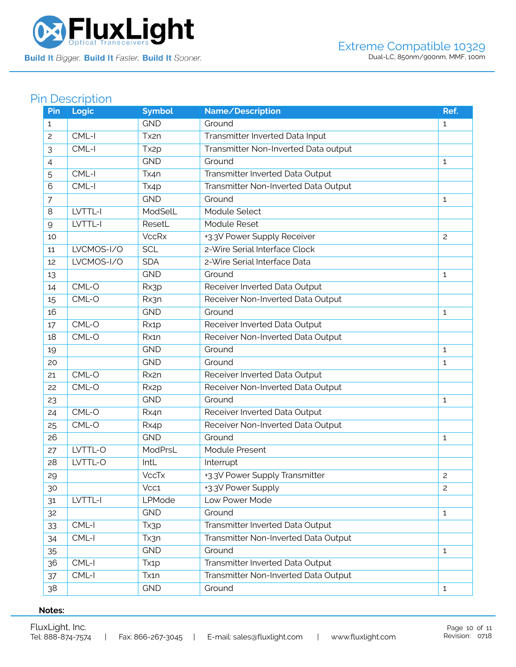

# Pin Description

| Pin            | Logic      | <b>Symbol</b>     | Name/Description                     | Ref.           |
|----------------|------------|-------------------|--------------------------------------|----------------|
| 1              |            | <b>GND</b>        | Ground                               | $\mathbf{1}$   |
| $\overline{c}$ | CML-I      | Tx2n              | Transmitter Inverted Data Input      |                |
| 3              | CML-I      | Tx <sub>2p</sub>  | Transmitter Non-Inverted Data output |                |
| 4              |            | <b>GND</b>        | Ground                               | $\mathbf{1}$   |
| 5              | CML-I      | Tx4n              | Transmitter Inverted Data Output     |                |
| 6              | CML-I      | Tx4p              | Transmitter Non-Inverted Data Output |                |
| $\overline{7}$ |            | <b>GND</b>        | Ground                               | $\mathbf{1}$   |
| 8              | LVTTL-I    | ModSelL           | Module Select                        |                |
| $\mathsf{Q}$   | LVTTL-I    | ResetL            | Module Reset                         |                |
| 10             |            | <b>VccRx</b>      | +3.3V Power Supply Receiver          | $\overline{c}$ |
| 11             | LVCMOS-I/O | <b>SCL</b>        | 2-Wire Serial Interface Clock        |                |
| 12             | LVCMOS-I/O | <b>SDA</b>        | 2-Wire Serial Interface Data         |                |
| 13             |            | <b>GND</b>        | Ground                               | 1              |
| 14             | CML-O      | Rx3p              | Receiver Inverted Data Output        |                |
| 15             | CML-O      | Rx3n              | Receiver Non-Inverted Data Output    |                |
| 16             |            | <b>GND</b>        | Ground                               | 1              |
| 17             | CML-O      | Rx1p              | Receiver Inverted Data Output        |                |
| 18             | CML-O      | Rx1n              | Receiver Non-Inverted Data Output    |                |
| 19             |            | <b>GND</b>        | Ground                               | 1              |
| 20             |            | <b>GND</b>        | Ground                               | 1              |
| 21             | CML-O      | Rx2n              | Receiver Inverted Data Output        |                |
| 22             | CML-O      | Rx <sub>2</sub> p | Receiver Non-Inverted Data Output    |                |
| 23             |            | <b>GND</b>        | Ground                               | 1              |
| 24             | CML-O      | Rx4n              | Receiver Inverted Data Output        |                |
| 25             | CML-O      | Rx4p              | Receiver Non-Inverted Data Output    |                |
| 26             |            | <b>GND</b>        | Ground                               | 1              |
| 27             | LVTTL-O    | ModPrsL           | Module Present                       |                |
| 28             | LVTTL-O    | IntL              | Interrupt                            |                |
| 29             |            | <b>VccTx</b>      | +3.3V Power Supply Transmitter       | $\overline{c}$ |
| 30             |            | Vcc1              | +3.3V Power Supply                   | 2              |
| 31             | LVTTL-I    | LPMode            | Low Power Mode                       |                |
| 32             |            | <b>GND</b>        | Ground                               | $\mathbf{1}$   |
| 33             | CML-I      | Tx3p              | Transmitter Inverted Data Output     |                |
| 34             | CML-I      | Tx3n              | Transmitter Non-Inverted Data Output |                |
| 35             |            | <b>GND</b>        | Ground                               | $\mathbf{1}$   |
| 36             | CML-I      | Tx <sub>1</sub> p | Transmitter Inverted Data Output     |                |
| 37             | CML-I      | Tx1n              | Transmitter Non-Inverted Data Output |                |
| 38             |            | <b>GND</b>        | Ground                               | $\mathbf{1}$   |

### **Notes:**